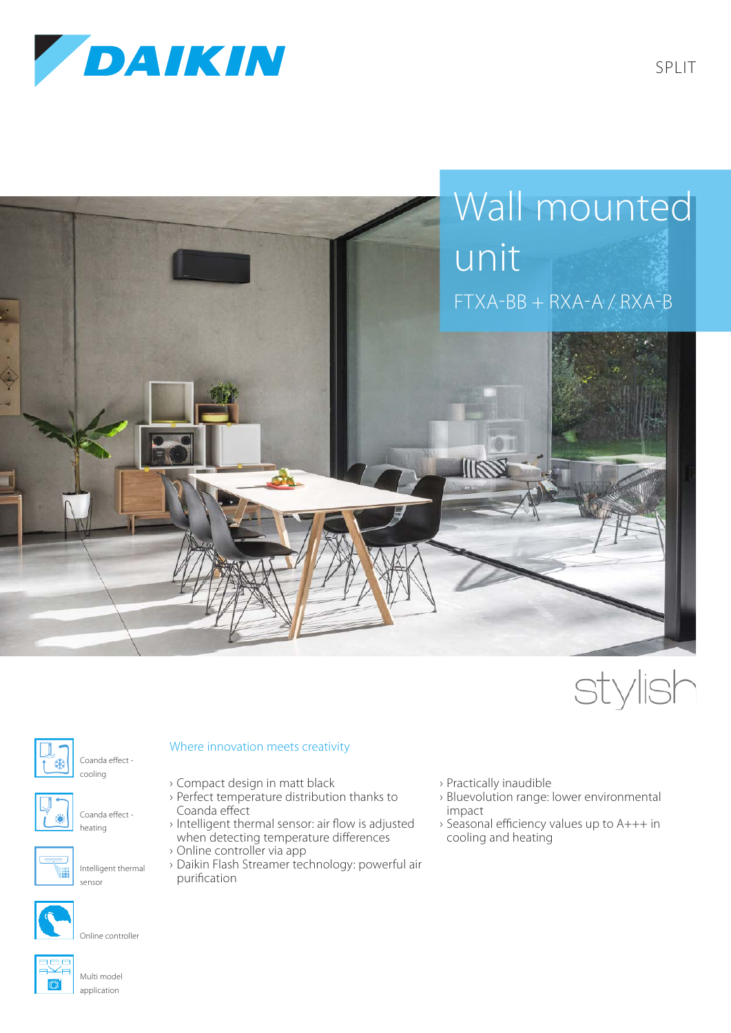







Coanda effect -



Coanda effect heating

cooling





Intelligent thermal sensor



Online controller

## Multi model application

## Where innovation meets creativity

- › Compact design in matt black
- › Perfect temperature distribution thanks to Coanda effect
- › Intelligent thermal sensor: air flow is adjusted when detecting temperature differences
- › Online controller via app
- › Daikin Flash Streamer technology: powerful air purification
- › Practically inaudible
- › Bluevolution range: lower environmental impact
- › Seasonal efficiency values up to A+++ in cooling and heating